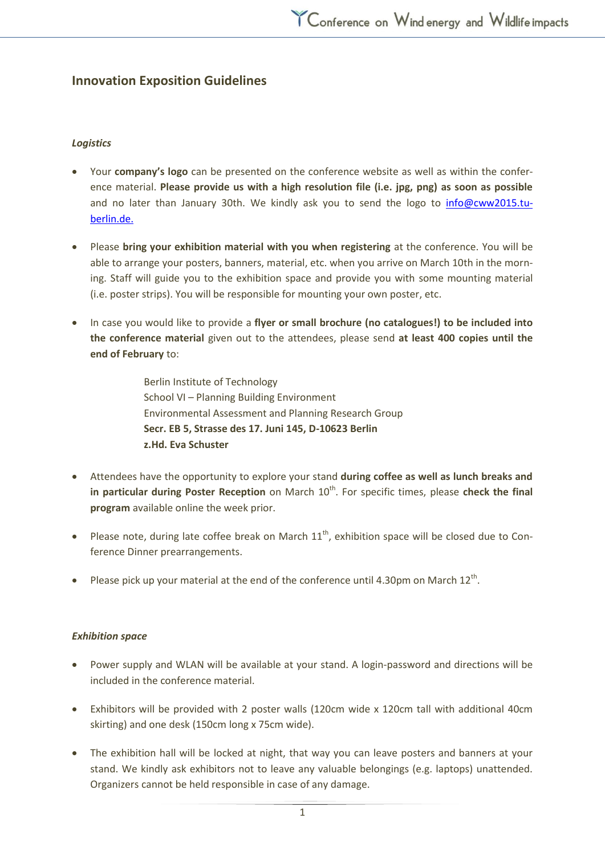# **Innovation Exposition Guidelines**

## *Logistics*

- Your **company's logo** can be presented on the conference website as well as within the conference material. **Please provide us with a high resolution file (i.e. jpg, png) as soon as possible**  and no later than January 30th. We kindly ask you to send the logo to [info@cww2015.tu](mailto:info@cww2015.tu-berlin.de)[berlin.de.](mailto:info@cww2015.tu-berlin.de)
- Please **bring your exhibition material with you when registering** at the conference. You will be able to arrange your posters, banners, material, etc. when you arrive on March 10th in the morning. Staff will guide you to the exhibition space and provide you with some mounting material (i.e. poster strips). You will be responsible for mounting your own poster, etc.
- In case you would like to provide a **flyer or small brochure (no catalogues!) to be included into the conference material** given out to the attendees, please send **at least 400 copies until the end of February** to:

Berlin Institute of Technology School VI – Planning Building Environment Environmental Assessment and Planning Research Group **Secr. EB 5, Strasse des 17. Juni 145, D-10623 Berlin z.Hd. Eva Schuster**

- Attendees have the opportunity to explore your stand **during coffee as well as lunch breaks and in particular during Poster Reception** on March 10<sup>th</sup>. For specific times, please check the final **program** available online the week prior.
- Please note, during late coffee break on March  $11<sup>th</sup>$ , exhibition space will be closed due to Conference Dinner prearrangements.
- Please pick up your material at the end of the conference until 4.30pm on March  $12^{th}$ .

### *Exhibition space*

- Power supply and WLAN will be available at your stand. A login-password and directions will be included in the conference material.
- Exhibitors will be provided with 2 poster walls (120cm wide x 120cm tall with additional 40cm skirting) and one desk (150cm long x 75cm wide).
- The exhibition hall will be locked at night, that way you can leave posters and banners at your stand. We kindly ask exhibitors not to leave any valuable belongings (e.g. laptops) unattended. Organizers cannot be held responsible in case of any damage.